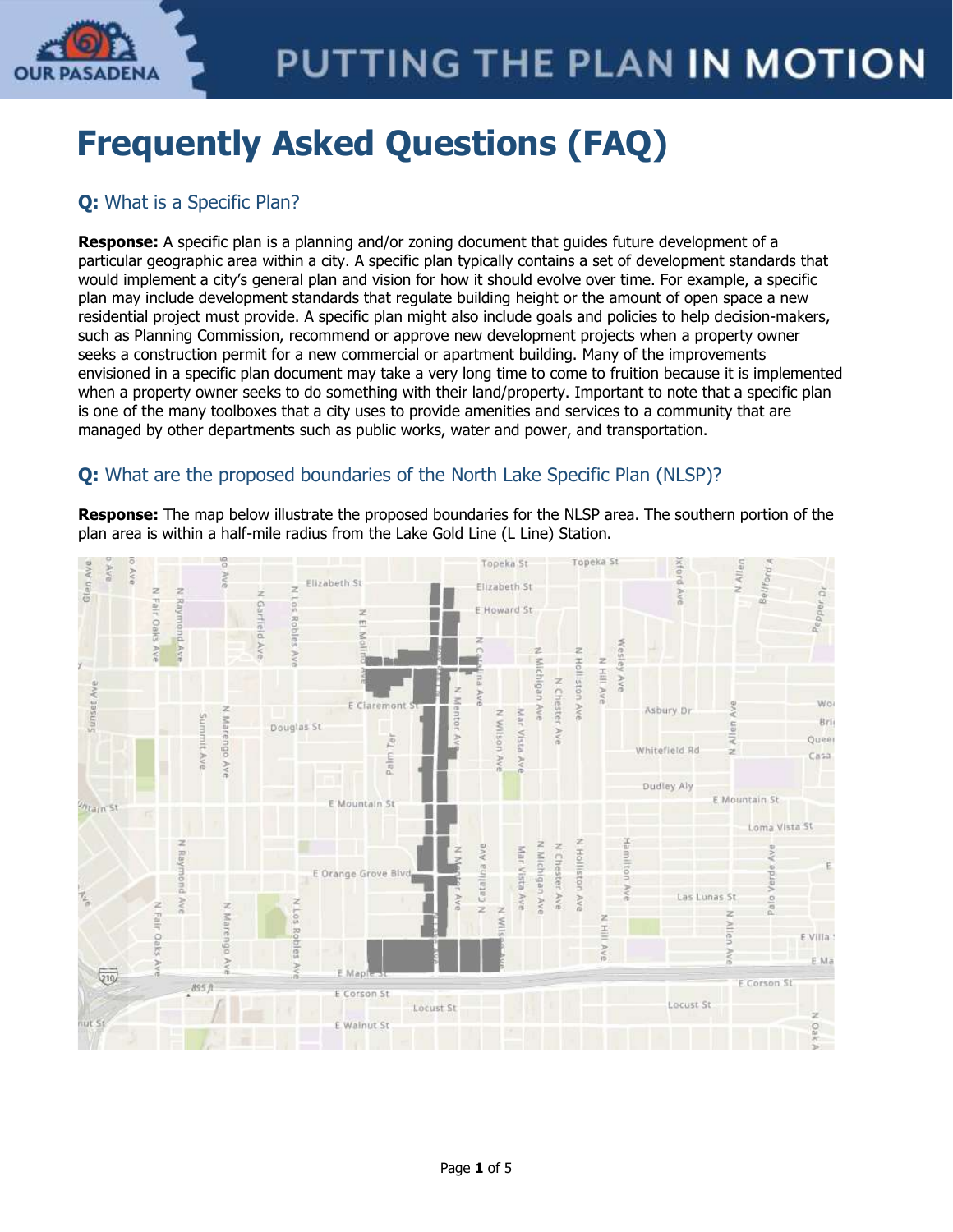

# **Frequently Asked Questions (FAQ)**

# **Q:** What is a Specific Plan?

**Response:** A specific plan is a planning and/or zoning document that guides future development of a particular geographic area within a city. A specific plan typically contains a set of development standards that would implement a city's general plan and vision for how it should evolve over time. For example, a specific plan may include development standards that regulate building height or the amount of open space a new residential project must provide. A specific plan might also include goals and policies to help decision-makers, such as Planning Commission, recommend or approve new development projects when a property owner seeks a construction permit for a new commercial or apartment building. Many of the improvements envisioned in a specific plan document may take a very long time to come to fruition because it is implemented when a property owner seeks to do something with their land/property. Important to note that a specific plan is one of the many toolboxes that a city uses to provide amenities and services to a community that are managed by other departments such as public works, water and power, and transportation.

# **Q:** What are the proposed boundaries of the North Lake Specific Plan (NLSP)?

**Response:** The map below illustrate the proposed boundaries for the NLSP area. The southern portion of the plan area is within a half-mile radius from the Lake Gold Line (L Line) Station.

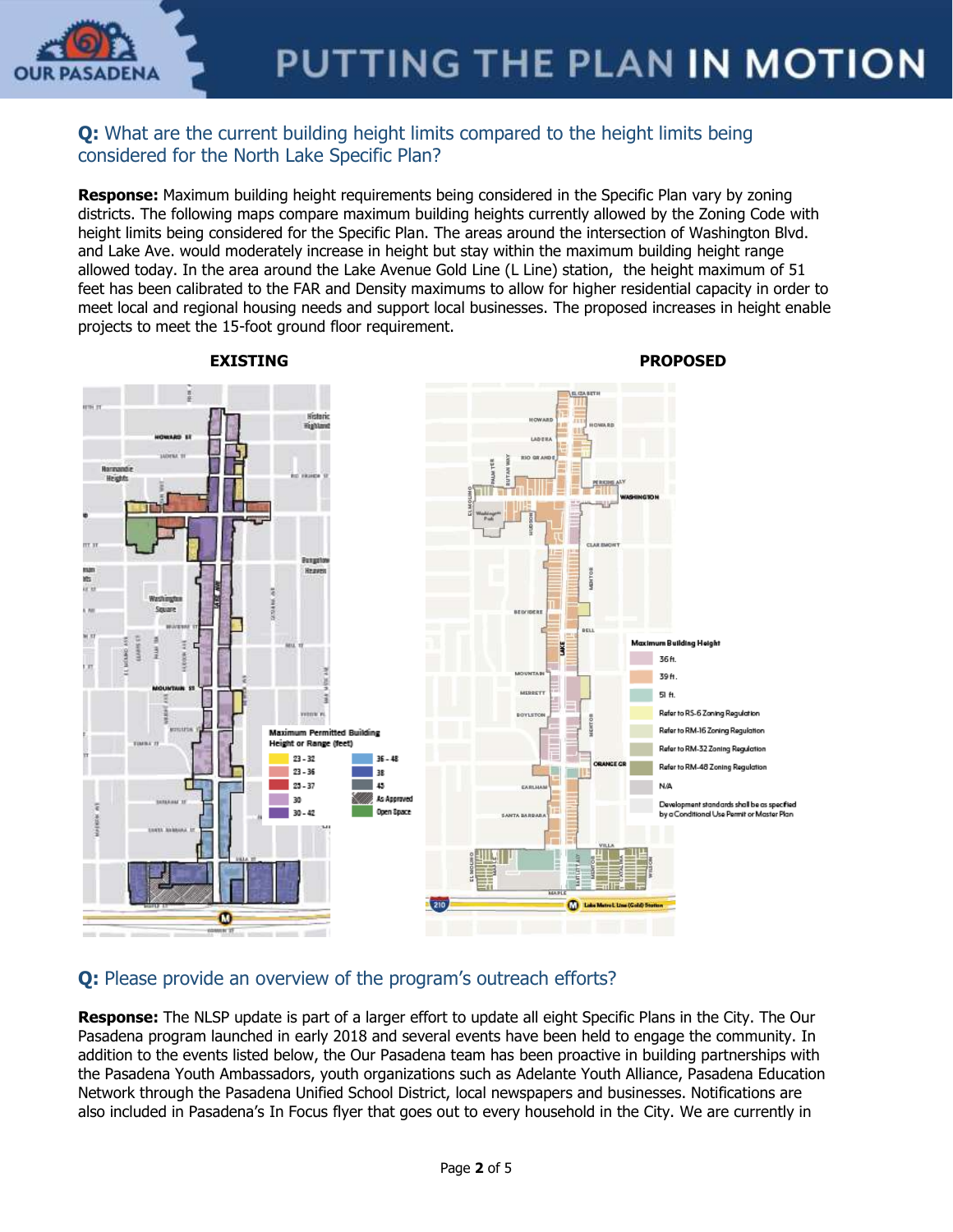

### **Q:** What are the current building height limits compared to the height limits being considered for the North Lake Specific Plan?

**Response:** Maximum building height requirements being considered in the Specific Plan vary by zoning districts. The following maps compare maximum building heights currently allowed by the Zoning Code with height limits being considered for the Specific Plan. The areas around the intersection of Washington Blvd. and Lake Ave. would moderately increase in height but stay within the maximum building height range allowed today. In the area around the Lake Avenue Gold Line (L Line) station, the height maximum of 51 feet has been calibrated to the FAR and Density maximums to allow for higher residential capacity in order to meet local and regional housing needs and support local businesses. The proposed increases in height enable projects to meet the 15-foot ground floor requirement.



 **EXISTING PROPOSED**

## **Q:** Please provide an overview of the program's outreach efforts?

**Response:** The NLSP update is part of a larger effort to update all eight Specific Plans in the City. The Our Pasadena program launched in early 2018 and several events have been held to engage the community. In addition to the events listed below, the Our Pasadena team has been proactive in building partnerships with the Pasadena Youth Ambassadors, youth organizations such as Adelante Youth Alliance, Pasadena Education Network through the Pasadena Unified School District, local newspapers and businesses. Notifications are also included in Pasadena's In Focus flyer that goes out to every household in the City. We are currently in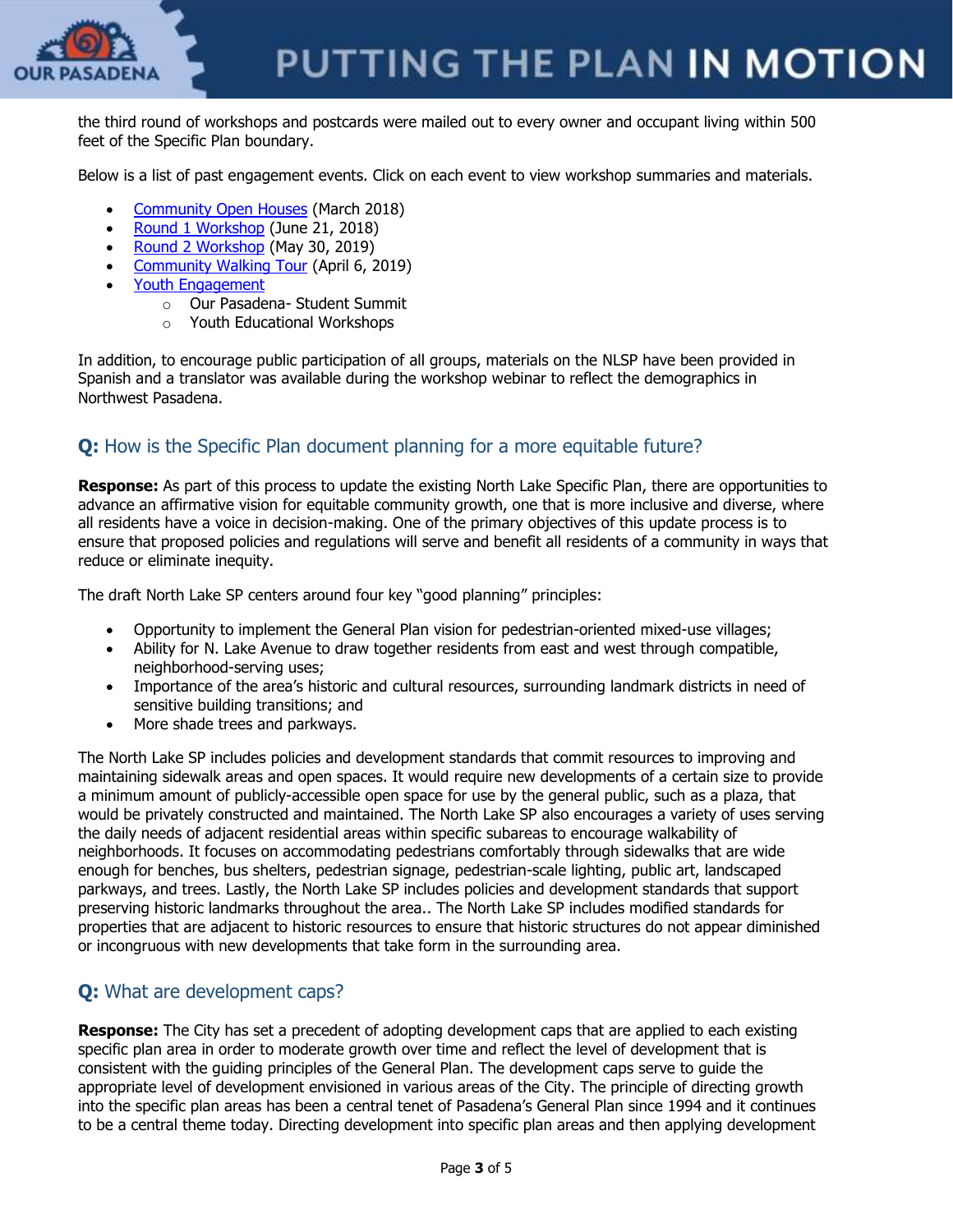

the third round of workshops and postcards were mailed out to every owner and occupant living within 500 feet of the Specific Plan boundary.

Below is a list of past engagement events. Click on each event to view workshop summaries and materials.

- [Community Open Houses](https://www.ourpasadena.org/march-open-houses) (March 2018)
- [Round 1 Workshop](https://www.ourpasadena.org/NorthLake-Round1-Materials) (June 21, 2018)
- [Round 2 Workshop](https://www.ourpasadena.org/NorthLake-Round2-Materials) (May 30, 2019)
- [Community Walking Tour](https://www.ourpasadena.org/NorthLake-Walking-Tour-Summary) (April 6, 2019)
- [Youth Engagement](https://www.ourpasadena.org/student-engagement)
	- o Our Pasadena- Student Summit
		- o Youth Educational Workshops

In addition, to encourage public participation of all groups, materials on the NLSP have been provided in Spanish and a translator was available during the workshop webinar to reflect the demographics in Northwest Pasadena.

## **Q:** How is the Specific Plan document planning for a more equitable future?

**Response:** As part of this process to update the existing North Lake Specific Plan, there are opportunities to advance an affirmative vision for equitable community growth, one that is more inclusive and diverse, where all residents have a voice in decision-making. One of the primary objectives of this update process is to ensure that proposed policies and regulations will serve and benefit all residents of a community in ways that reduce or eliminate inequity.

The draft North Lake SP centers around four key "good planning" principles:

- Opportunity to implement the General Plan vision for pedestrian-oriented mixed-use villages;
- Ability for N. Lake Avenue to draw together residents from east and west through compatible, neighborhood-serving uses;
- Importance of the area's historic and cultural resources, surrounding landmark districts in need of sensitive building transitions; and
- More shade trees and parkways.

The North Lake SP includes policies and development standards that commit resources to improving and maintaining sidewalk areas and open spaces. It would require new developments of a certain size to provide a minimum amount of publicly-accessible open space for use by the general public, such as a plaza, that would be privately constructed and maintained. The North Lake SP also encourages a variety of uses serving the daily needs of adjacent residential areas within specific subareas to encourage walkability of neighborhoods. It focuses on accommodating pedestrians comfortably through sidewalks that are wide enough for benches, bus shelters, pedestrian signage, pedestrian-scale lighting, public art, landscaped parkways, and trees. Lastly, the North Lake SP includes policies and development standards that support preserving historic landmarks throughout the area.. The North Lake SP includes modified standards for properties that are adjacent to historic resources to ensure that historic structures do not appear diminished or incongruous with new developments that take form in the surrounding area.

## **Q:** What are development caps?

**Response:** The City has set a precedent of adopting development caps that are applied to each existing specific plan area in order to moderate growth over time and reflect the level of development that is consistent with the guiding principles of the General Plan. The development caps serve to guide the appropriate level of development envisioned in various areas of the City. The principle of directing growth into the specific plan areas has been a central tenet of Pasadena's General Plan since 1994 and it continues to be a central theme today. Directing development into specific plan areas and then applying development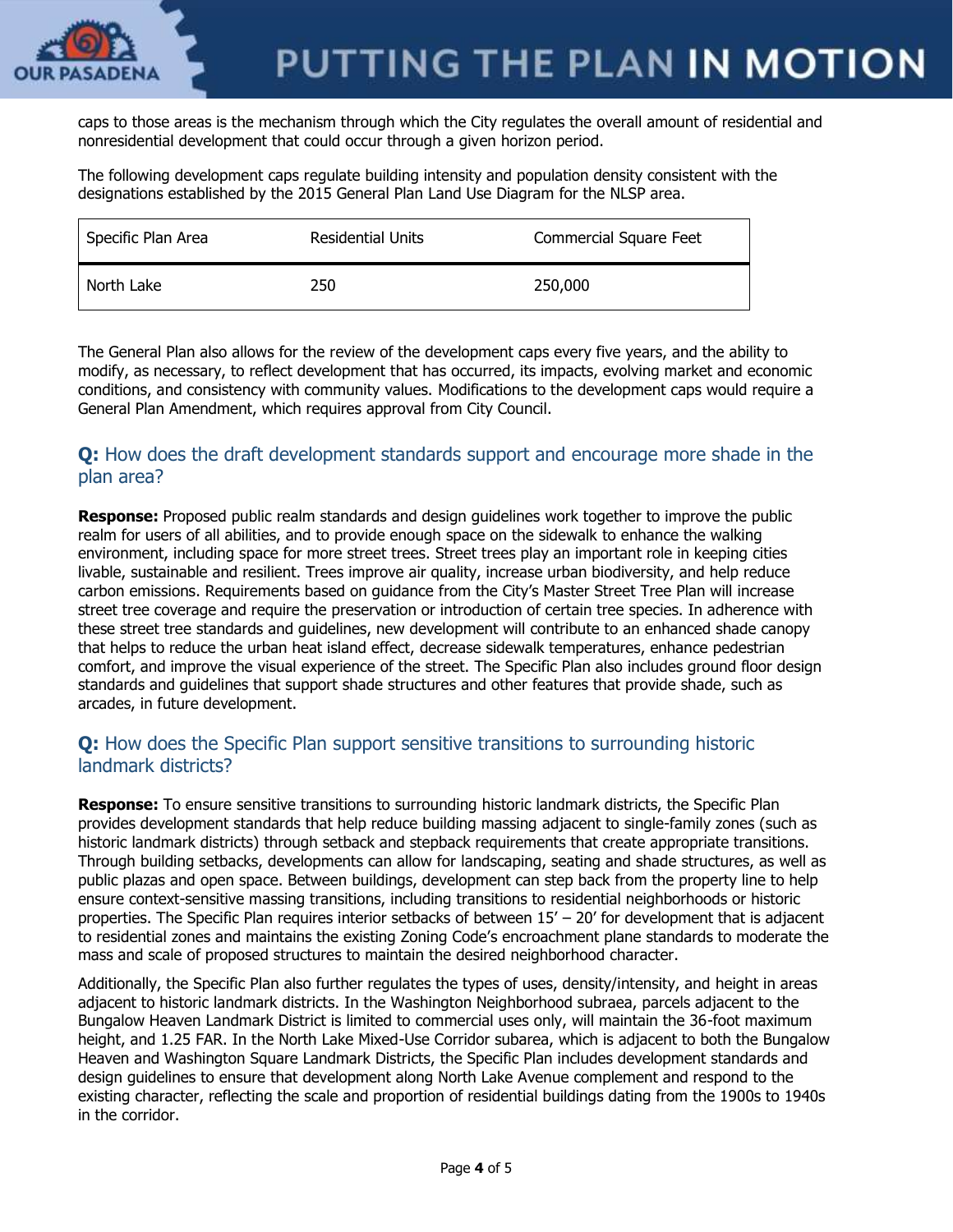

caps to those areas is the mechanism through which the City regulates the overall amount of residential and nonresidential development that could occur through a given horizon period.

The following development caps regulate building intensity and population density consistent with the designations established by the 2015 General Plan Land Use Diagram for the NLSP area.

| Specific Plan Area | <b>Residential Units</b> | Commercial Square Feet |
|--------------------|--------------------------|------------------------|
| North Lake         | 250                      | 250,000                |

The General Plan also allows for the review of the development caps every five years, and the ability to modify, as necessary, to reflect development that has occurred, its impacts, evolving market and economic conditions, and consistency with community values. Modifications to the development caps would require a General Plan Amendment, which requires approval from City Council.

#### **Q:** How does the draft development standards support and encourage more shade in the plan area?

**Response:** Proposed public realm standards and design guidelines work together to improve the public realm for users of all abilities, and to provide enough space on the sidewalk to enhance the walking environment, including space for more street trees. Street trees play an important role in keeping cities livable, sustainable and resilient. Trees improve air quality, increase urban biodiversity, and help reduce carbon emissions. Requirements based on guidance from the City's Master Street Tree Plan will increase street tree coverage and require the preservation or introduction of certain tree species. In adherence with these street tree standards and guidelines, new development will contribute to an enhanced shade canopy that helps to reduce the urban heat island effect, decrease sidewalk temperatures, enhance pedestrian comfort, and improve the visual experience of the street. The Specific Plan also includes ground floor design standards and guidelines that support shade structures and other features that provide shade, such as arcades, in future development.

#### **Q:** How does the Specific Plan support sensitive transitions to surrounding historic landmark districts?

**Response:** To ensure sensitive transitions to surrounding historic landmark districts, the Specific Plan provides development standards that help reduce building massing adjacent to single-family zones (such as historic landmark districts) through setback and stepback requirements that create appropriate transitions. Through building setbacks, developments can allow for landscaping, seating and shade structures, as well as public plazas and open space. Between buildings, development can step back from the property line to help ensure context-sensitive massing transitions, including transitions to residential neighborhoods or historic properties. The Specific Plan requires interior setbacks of between 15' – 20' for development that is adjacent to residential zones and maintains the existing Zoning Code's encroachment plane standards to moderate the mass and scale of proposed structures to maintain the desired neighborhood character.

Additionally, the Specific Plan also further regulates the types of uses, density/intensity, and height in areas adjacent to historic landmark districts. In the Washington Neighborhood subraea, parcels adjacent to the Bungalow Heaven Landmark District is limited to commercial uses only, will maintain the 36-foot maximum height, and 1.25 FAR. In the North Lake Mixed-Use Corridor subarea, which is adjacent to both the Bungalow Heaven and Washington Square Landmark Districts, the Specific Plan includes development standards and design guidelines to ensure that development along North Lake Avenue complement and respond to the existing character, reflecting the scale and proportion of residential buildings dating from the 1900s to 1940s in the corridor.